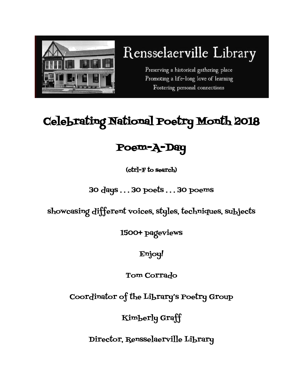

# Rensselaerville Library

Preserving a historical gathering place Promoting a life-long love of learning Fostering personal connections

## Celebrating National Poetry Month 2018

### Poem-A-Day

(ctrl-F to search)

### 30 days . . . 30 poets . . . 30 poems

showcasing different voices, styles, techniques, subjects

1500+ pageviews

Enjoy!

Tom Corrado

Coordinator of the Library's Poetry Group

Kimberly Graff

Director, Rensselaerville Library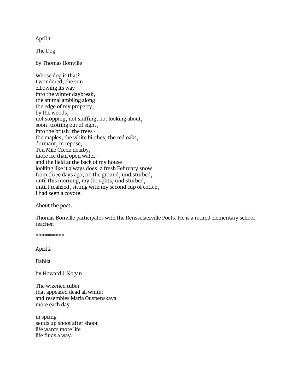April 1

The Dog

by Thomas Bonville

Whose dog is that? I wondered, the sun elbowing its way into the winter daybreak, the animal ambling along the edge of my property, by the woods, not stopping, not sniffing, not looking about, soon, trotting out of sight, into the brush, the trees the maples, the white birches, the red oaks, dormant, in repose, Ten Mile Creek nearby, more ice than open water and the field at the back of my house, looking like it always does, a fresh February snow from three days ago, on the ground, undisturbed, until this morning, my thoughts, undisturbed, until I realized, sitting with my second cup of coffee, I had seen a coyote.

About the poet:

Thomas Bonville participates with the Rensselaerville Poets. He is a retired elementary school teacher.

\*\*\*\*\*\*\*\*\*\*

April 2

Dahlia

by Howard J. Kogan

The wizened tuber that appeared dead all winter and resembles Maria Ouspenskaya more each day

in spring sends up shoot after shoot life wants more life life finds a way.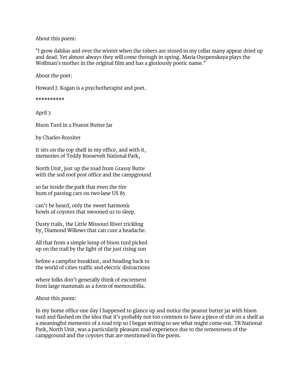#### About this poem:

"I grow dahlias and over the winter when the tubers are stored in my cellar many appear dried up and dead. Yet almost always they will come through in spring. Maria Ouspenskaya plays the Wolfman's mother in the original film and has a gloriously poetic name."

About the poet:

Howard J. Kogan is a psychotherapist and poet.

\*\*\*\*\*\*\*\*\*\*

April 3

Bison Turd in a Peanut Butter Jar

by Charles Rossiter

It sits on the top shelf in my office, and with it, memories of Teddy Roosevelt National Park,

North Unit, just up the road from Grassy Butte with the sod roof post office and the campground

so far inside the park that even the tire hum of passing cars on two-lane US 85

can't be heard, only the sweet harmonic howls of coyotes that swooned us to sleep.

Dusty trails, the Little Missouri River trickling by, Diamond Willows that can cure a headache.

All that from a simple lump of bison turd picked up on the trail by the light of the just rising sun

before a campfire breakfast, and heading back to the world of cities traffic and electric distractions

where folks don't generally think of excrement from large mammals as a form of memorabilia.

About this poem:

In my home office one day I happened to glance up and notice the peanut butter jar with bison turd and flashed on the idea that it's probably not too common to have a piece of shit on a shelf as a meaningful memento of a road trip so I began writing to see what might come out. TR National Park, North Unit, was a particularly pleasant road experience due to the remoteness of the campground and the coyotes that are mentioned in the poem.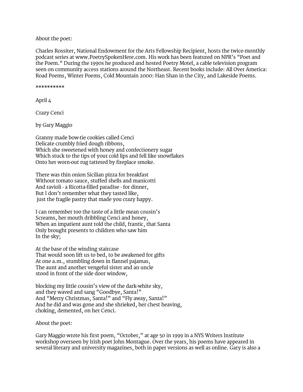#### About the poet:

Charles Rossiter, National Endowment for the Arts Fellowship Recipient, hosts the twice-monthly podcast series at [www.PoetrySpokenHere.com](http://www.poetryspokenhere.com/). His work has been featured on NPR's "Poet and the Poem." During the 1990s he produced and hosted Poetry Motel, a cable television program seen on community access stations around the Northeast. Recent books include: All Over America: Road Poems, Winter Poems, Cold Mountain 2000: Han Shan in the City, and Lakeside Poems.

\*\*\*\*\*\*\*\*\*\*

April 4

Crazy Cenci

by Gary Maggio

Granny made bow-tie cookies called Cenci Delicate crumbly fried dough ribbons, Which she sweetened with honey and confectionery sugar Which stuck to the tips of your cold lips and fell like snowflakes Onto her worn-out rug tattered by fireplace smoke.

There was thin onion Sicilian pizza for breakfast Without tomato sauce, stuffed shells and manicotti And ravioli - a Ricotta-filled paradise - for dinner, But I don't remember what they tasted like, just the fragile pastry that made you crazy happy.

I can remember too the taste of a little mean cousin's Screams, her mouth dribbling Cenci and honey, When an impatient aunt told the child, frantic, that Santa Only brought presents to children who saw him In the sky;

At the base of the winding staircase That would soon lift us to bed, to be awakened for gifts At one a.m., stumbling down in flannel pajamas, The aunt and another vengeful sister and an uncle stood in front of the side door window,

blocking my little cousin's view of the dark-white sky, and they waved and sang "Goodbye, Santa!" And "Merry Christmas, Santa!" and "Fly away, Santa!" And he did and was gone and she shrieked, her chest heaving, choking, demented, on her Cenci.

About the poet:

Gary Maggio wrote his first poem, "October," at age 50 in 1999 in a NYS Writers Institute workshop overseen by Irish poet John Montague. Over the years, his poems have appeared in several literary and university magazines, both in paper versions as well as online. Gary is also a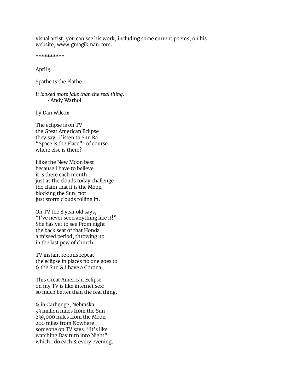visual artist; you can see his work, including some current poems, on his website, [www.gmagikman.com.](http://www.gmagikman.com/)

\*\*\*\*\*\*\*\*\*\*

April 5

Spathe Is the Plathe

*It looked more fake than the real thing.* - Andy Warhol

by Dan Wilcox

The eclipse is on TV the Great American Eclipse they say. I listen to Sun Ra "Space is the Place" - of course where else is there?

I like the New Moon best because I have to believe it is there each month just as the clouds today challenge the claim that it is the Moon blocking the Sun, not just storm clouds rolling in.

On TV the 8-year-old says, "I've never seen anything like it!" She has yet to see Prom night the back seat of that Honda a missed period, throwing up in the last pew of church.

TV instant re-runs repeat the eclipse in places no one goes to & the Sun & I have a Corona.

This Great American Eclipse on my TV is like internet sex: so much better than the real thing.

& in Carhenge, Nebraska 93 million miles from the Sun 239,000 miles from the Moon 200 miles from Nowhere someone on TV says, "It's like watching Day turn into Night" which I do each & every evening.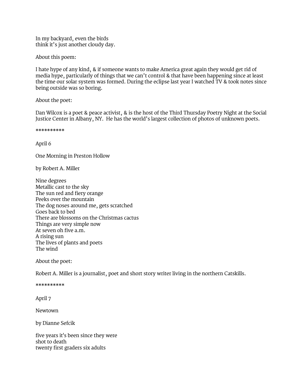In my backyard, even the birds think it's just another cloudy day.

About this poem:

I hate hype of any kind, & if someone wants to make America great again they would get rid of media hype, particularly of things that we can't control & that have been happening since at least the time our solar system was formed. During the eclipse last year I watched TV & took notes since being outside was so boring.

About the poet:

Dan Wilcox is a poet & peace activist, & is the host of the Third Thursday Poetry Night at the Social Justice Center in Albany, NY. He has the world's largest collection of photos of unknown poets.

\*\*\*\*\*\*\*\*\*\*

April 6

One Morning in Preston Hollow

by Robert A. Miller

Nine degrees Metallic cast to the sky The sun red and fiery orange Peeks over the mountain The dog noses around me, gets scratched Goes back to bed There are blossoms on the Christmas cactus Things are very simple now At seven oh five a.m. A rising sun The lives of plants and poets The wind

About the poet:

Robert A. Miller is a journalist, poet and short story writer living in the northern Catskills.

\*\*\*\*\*\*\*\*\*\*

April 7

Newtown

by Dianne Sefcik

five years it's been since they were shot to death twenty first graders six adults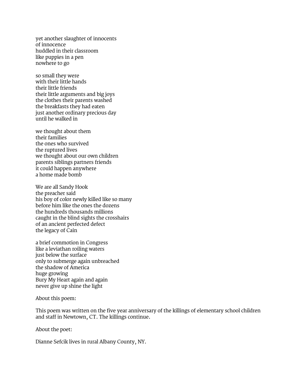yet another slaughter of innocents of innocence huddled in their classroom like puppies in a pen nowhere to go

so small they were with their little hands their little friends their little arguments and big joys the clothes their parents washed the breakfasts they had eaten just another ordinary precious day until he walked in

we thought about them their families the ones who survived the ruptured lives we thought about our own children parents siblings partners friends it could happen anywhere a home made bomb

We are all Sandy Hook the preacher said his boy of color newly killed like so many before him like the ones the dozens the hundreds thousands millions caught in the blind sights the crosshairs of an ancient perfected defect the legacy of Cain

a brief commotion in Congress like a leviathan roiling waters just below the surface only to submerge again unbreached the shadow of America huge growing Bury My Heart again and again never give up shine the light

About this poem:

This poem was written on the five year anniversary of the killings of elementary school children and staff in Newtown, CT. The killings continue.

About the poet:

Dianne Sefcik lives in rural Albany County, NY.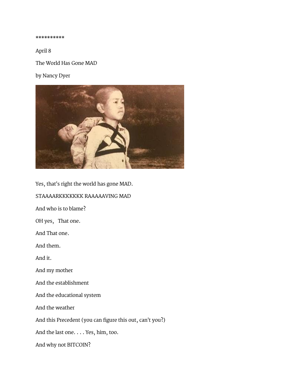\*\*\*\*\*\*\*\*\*\*

April 8

The World Has Gone MAD

by Nancy Dyer



Yes, that's right the world has gone MAD. STAAAARKKKKKKK RAAAAAVING MAD And who is to blame? OH yes, That one. And That one. And them. And it. And my mother And the establishment And the educational system And the weather And this Precedent (you can figure this out, can't you?) And the last one. . . . Yes, him, too. And why not BITCOIN?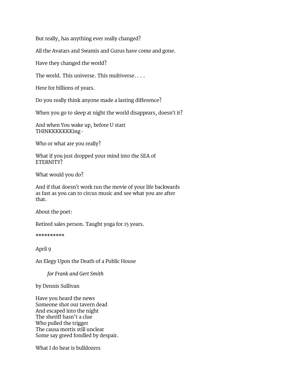But really, has anything ever really changed?

All the Avatars and Swamis and Gurus have come and gone.

Have they changed the world?

The world. This universe. This multiverse. . . .

Here for billions of years.

Do you really think anyone made a lasting difference?

When you go to sleep at night the world disappears, doesn't it?

And when You wake up, before U start THINKKKKKKKing -

Who or what are you really?

What if you just dropped your mind into the SEA of ETERNITY?

What would you do?

And if that doesn't work run the movie of your life backwards as fast as you can to circus music and see what you are after that.

About the poet:

Retired sales person. Taught yoga for 15 years.

\*\*\*\*\*\*\*\*\*\*

April 9

An Elegy Upon the Death of a Public House

*for Frank and Gert Smith*

by Dennis Sullivan

Have you heard the news Someone shot our tavern dead And escaped into the night The sheriff hasn't a clue Who pulled the trigger The causa mortis still unclear Some say greed fondled by despair.

What I do hear is bulldozers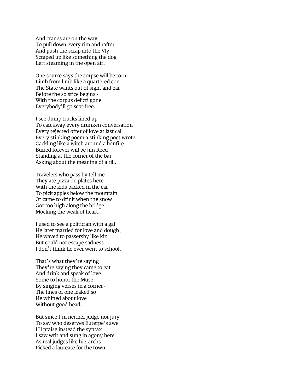And cranes are on the way To pull down every rim and rafter And push the scrap into the Vly Scraped up like something the dog Left steaming in the open air.

One source says the corpse will be torn Limb from limb like a quartered con The State wants out of sight and ear Before the solstice begins - With the corpus delicti gone Everybody'll go scot-free.

I see dump trucks lined up To cart away every drunken conversation Every rejected offer of love at last call Every stinking poem a stinking poet wrote Cackling like a witch around a bonfire. Buried forever will be Jim Reed Standing at the corner of the bar Asking about the meaning of a rill.

Travelers who pass by tell me They ate pizza on plates here With the kids packed in the car To pick apples below the mountain Or came to drink when the snow Got too high along the bridge Mocking the weak-of-heart.

I used to see a politician with a gal He later married for love and dough, He waved to passersby like kin But could not escape sadness I don't think he ever went to school.

That's what they're saying They're saying they came to eat And drink and speak of love Some to honor the Muse By singing verses in a corner - The lines of one leaked so He whined about love Without good head.

But since I'm neither judge nor jury To say who deserves Euterpe's awe I'll praise instead the syntax I saw writ and sung in agony here As real judges like hierarchs Picked a laureate for the town.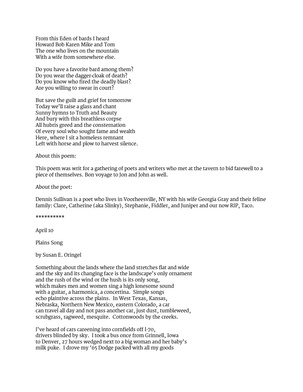From this Eden of bards I heard Howard Bob Karen Mike and Tom The one who lives on the mountain With a wife from somewhere else.

Do you have a favorite bard among them? Do you wear the dagger-cloak of death? Do you know who fired the deadly blast? Are you willing to swear in court?

But save the guilt and grief for tomorrow Today we'll raise a glass and chant Sunny hymns to Truth and Beauty And bury with this breathless corpse All hubris greed and the consternation Of every soul who sought fame and wealth Here, where I sit a homeless remnant Left with horse and plow to harvest silence.

#### About this poem:

This poem was writ for a gathering of poets and writers who met at the tavern to bid farewell to a piece of themselves. Bon voyage to Jon and John as well.

About the poet:

Dennis Sullivan is a poet who lives in Voorheesville, NY with his wife Georgia Gray and their feline family: Clare, Catherine (aka Slinky), Stephanie, Fiddler, and Juniper and our now RIP, Taco.

#### \*\*\*\*\*\*\*\*\*\*

April 10

Plains Song

by Susan E. Oringel

Something about the lands where the land stretches flat and wide and the sky and its changing face is the landscape's only ornament and the rush of the wind or the hush is its only song, which makes men and women sing a high lonesome sound with a guitar, a harmonica, a concertina. Simple songs echo plaintive across the plains. In West Texas, Kansas, Nebraska, Northern New Mexico, eastern Colorado, a car can travel all day and not pass another car, just dust, tumbleweed, scrubgrass, ragweed, mesquite. Cottonwoods by the creeks.

I've heard of cars careening into cornfields off I-70, drivers blinded by sky. I took a bus once from Grinnell, Iowa to Denver, 27 hours wedged next to a big woman and her baby's milk puke. I drove my '65 Dodge packed with all my goods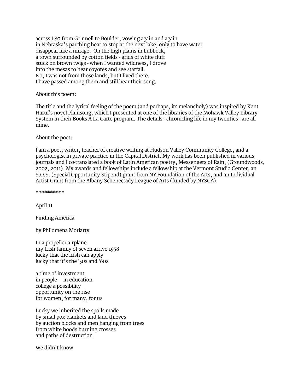across I-80 from Grinnell to Boulder, vowing again and again in Nebraska's parching heat to stop at the next lake, only to have water disappear like a mirage. On the high plains in Lubbock, a town surrounded by cotton fields - grids of white fluff stuck on brown twigs - when I wanted wildness, I drove into the mesas to hear coyotes and see starfall. No, I was not from those lands, but I lived there. I have passed among them and still hear their song.

About this poem:

The title and the lyrical feeling of the poem (and perhaps, its melancholy) was inspired by Kent Haruf's novel Plainsong, which I presented at one of the libraries of the Mohawk Valley Library System in their Books A La Carte program. The details - chronicling life in my twenties - are all mine.

About the poet:

I am a poet, writer, teacher of creative writing at Hudson Valley Community College, and a psychologist in private practice in the Capital District. My work has been published in various journals and I co-translated a book of Latin American poetry, Messengers of Rain, (Groundwoods, 2002, 2011). My awards and fellowships include a fellowship at the Vermont Studio Center, an S.O.S. (Special Opportunity Stipend) grant from NY Foundation of the Arts, and an Individual Artist Grant from the Albany-Schenectady League of Arts (funded by NYSCA).

\*\*\*\*\*\*\*\*\*\*

April 11

Finding America

by Philomena Moriarty

In a propeller airplane my Irish family of seven arrive 1958 lucky that the Irish can apply lucky that it's the '50s and '60s

a time of investment in people in education college a possibility opportunity on the rise for women, for many, for us

Lucky we inherited the spoils made by small pox blankets and land thieves by auction blocks and men hanging from trees from white hoods burning crosses and paths of destruction

We didn't know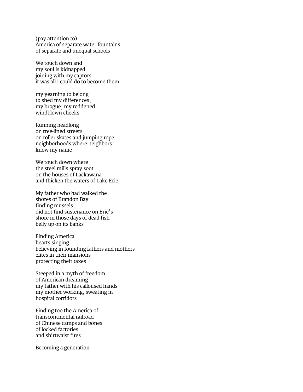(pay attention to) America of separate water fountains of separate and unequal schools

We touch down and my soul is kidnapped joining with my captors it was all I could do to become them

my yearning to belong to shed my differences, my brogue, my reddened windblown cheeks

Running headlong on tree-lined streets on roller skates and jumping rope neighborhoods where neighbors know my name

We touch down where the steel mills spray soot on the houses of Lackawana and thicken the waters of Lake Erie

My father who had walked the shores of Brandon Bay finding mussels did not find sustenance on Erie's shore in those days of dead fish belly up on its banks

Finding America hearts singing believing in founding fathers and mothers elites in their mansions protecting their taxes

Steeped in a myth of freedom of American dreaming my father with his calloused hands my mother working, sweating in hospital corridors

Finding too the America of transcontinental railroad of Chinese camps and bones of locked factories and shirtwaist fires

Becoming a generation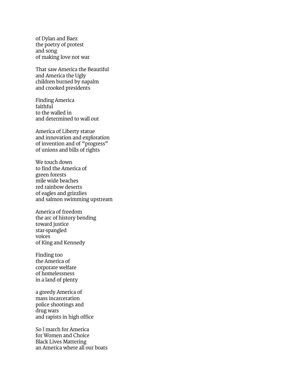of Dylan and Baez the poetry of protest and song of making love not war

That saw America the Beautiful and America the Ugly children burned by napalm and crooked presidents

Finding America faithful to the walled in and determined to wall out

America of Liberty statue and innovation and exploration of invention and of "progress" of unions and bills of rights

We touch down to find the America of green forests mile wide beaches red rainbow deserts of eagles and grizzlies and salmon swimming upstream

America of freedom the arc of history bending toward justice star-spangled voices of King and Kennedy

Finding too the America of corporate welfare of homelessness in a land of plenty

a greedy America of mass incarceration police shootings and drug wars and rapists in high office

So I march for America for Women and Choice Black Lives Mattering an America where all our boats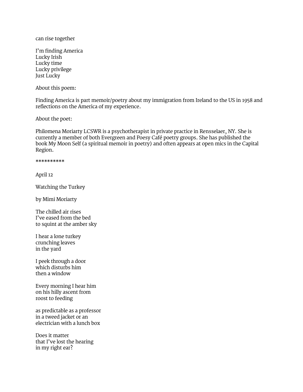can rise together

I'm finding America Lucky Irish Lucky time Lucky privilege Just Lucky

About this poem:

Finding America is part memoir/poetry about my immigration from Ireland to the US in 1958 and reflections on the America of my experience.

About the poet:

Philomena Moriarty LCSWR is a psychotherapist in private practice in Rensselaer, NY. She is currently a member of both Evergreen and Poesy Café poetry groups. She has published the book My Moon Self (a spiritual memoir in poetry) and often appears at open mics in the Capital Region.

\*\*\*\*\*\*\*\*\*\*

April 12

Watching the Turkey

by Mimi Moriarty

The chilled air rises I've eased from the bed to squint at the amber sky

I hear a lone turkey crunching leaves in the yard

I peek through a door which disturbs him then a window

Every morning I hear him on his hilly ascent from roost to feeding

as predictable as a professor in a tweed jacket or an electrician with a lunch box

Does it matter that I've lost the hearing in my right ear?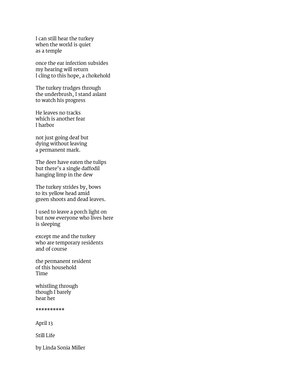I can still hear the turkey when the world is quiet as a temple

once the ear infection subsides my hearing will return I cling to this hope, a chokehold

The turkey trudges through the underbrush, I stand aslant to watch his progress

He leaves no tracks which is another fear I harbor

not just going deaf but dying without leaving a permanent mark.

The deer have eaten the tulips but there's a single daffodil hanging limp in the dew

The turkey strides by, bows to its yellow head amid green shoots and dead leaves.

I used to leave a porch light on but now everyone who lives here is sleeping

except me and the turkey who are temporary residents and of course

the permanent resident of this household Time

whistling through though I barely hear her

\*\*\*\*\*\*\*\*\*\*

April 13

Still Life

by Linda Sonia Miller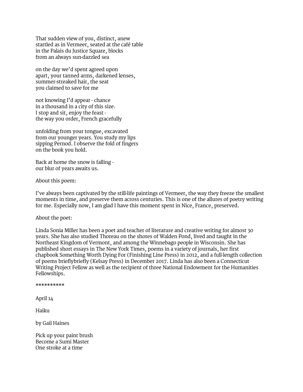That sudden view of you, distinct, anew startled as in Vermeer, seated at the café table in the Palais du Justice Square, blocks from an always sun-dazzled sea

on the day we'd spent agreed upon apart, your tanned arms, darkened lenses, summer-streaked hair, the seat you claimed to save for me

not knowing I'd appear - chance in a thousand in a city of this size. I stop and sit, enjoy the feast the way you order, French gracefully

unfolding from your tongue, excavated from our younger years. You study my lips sipping Pernod. I observe the fold of fingers on the book you hold.

Back at home the snow is falling our blur of years awaits us.

About this poem:

I've always been captivated by the still-life paintings of Vermeer, the way they freeze the smallest moments in time, and preserve them across centuries. This is one of the allures of poetry writing for me. Especially now, I am glad I have this moment spent in Nice, France, preserved.

#### About the poet:

Linda Sonia Miller has been a poet and teacher of literature and creative writing for almost 30 years. She has also studied Thoreau on the shores of Walden Pond, lived and taught in the Northeast Kingdom of Vermont, and among the Winnebago people in Wisconsin. She has published short essays in The New York Times, poems in a variety of journals, her first chapbook Something Worth Dying For (Finishing Line Press) in 2012, and a full-length collection of poems brieflybriefly (Kelsay Press) in December 2017. Linda has also been a Connecticut Writing Project Fellow as well as the recipient of three National Endowment for the Humanities Fellowships.

\*\*\*\*\*\*\*\*\*\*

April 14

Haiku

by Gail Haines

Pick up your paint brush Become a Sumi Master One stroke at a time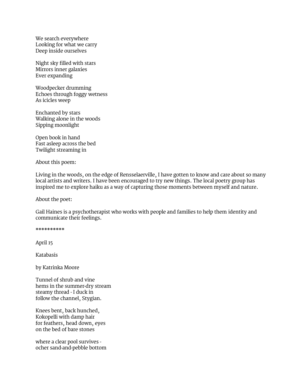We search everywhere Looking for what we carry Deep inside ourselves

Night sky filled with stars Mirrors inner galaxies Ever expanding

Woodpecker drumming Echoes through foggy wetness As icicles weep

Enchanted by stars Walking alone in the woods Sipping moonlight

Open book in hand Fast asleep across the bed Twilight streaming in

About this poem:

Living in the woods, on the edge of Rensselaerville, I have gotten to know and care about so many local artists and writers. I have been encouraged to try new things. The local poetry group has inspired me to explore haiku as a way of capturing those moments between myself and nature.

About the poet:

Gail Haines is a psychotherapist who works with people and families to help them identity and communicate their feelings.

\*\*\*\*\*\*\*\*\*\*

April 15

Katabasis

by Katrinka Moore

Tunnel of shrub and vine hems in the summer-dry stream steamy thread - I duck in follow the channel, Stygian.

Knees bent, back hunched, Kokopelli with damp hair for feathers, head down, eyes on the bed of bare stones

where a clear pool survives ocher sand-and-pebble bottom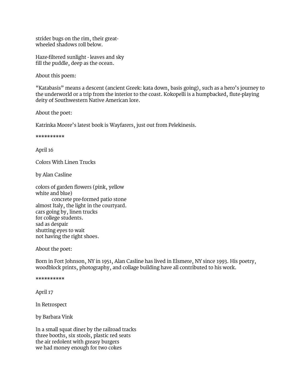strider bugs on the rim, their greatwheeled shadows roll below.

Haze-filtered sunlight - leaves and sky fill the puddle, deep as the ocean.

About this poem:

"Katabasis" means a descent (ancient Greek: kata down, basis going), such as a hero's journey to the underworld or a trip from the interior to the coast. Kokopelli is a humpbacked, flute-playing deity of Southwestern Native American lore.

About the poet:

Katrinka Moore's latest book is Wayfarers, just out from Pelekinesis.

\*\*\*\*\*\*\*\*\*\*

April 16

Colors With Linen Trucks

by Alan Casline

colors of garden flowers (pink, yellow white and blue) concrete pre-formed patio stone almost Italy, the light in the courtyard. cars going by, linen trucks for college students. sad as despair shutting eyes to wait not having the right shoes.

About the poet:

Born in Fort Johnson, NY in 1951, Alan Casline has lived in Elsmere, NY since 1993. His poetry, woodblock prints, photography, and collage building have all contributed to his work.

\*\*\*\*\*\*\*\*\*\*

April 17

In Retrospect

by Barbara Vink

In a small squat diner by the railroad tracks three booths, six stools, plastic red seats the air redolent with greasy burgers we had money enough for two cokes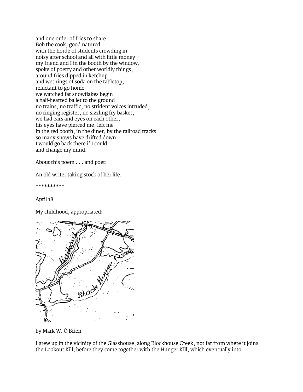and one order of fries to share Bob the cook, good natured with the horde of students crowding in noisy after school and all with little money my friend and I in the booth by the window, spoke of poetry and other worldly things, around fries dipped in ketchup and wet rings of soda on the tabletop, reluctant to go home we watched fat snowflakes begin a half-hearted ballet to the ground no trains, no traffic, no strident voices intruded, no ringing register, no sizzling fry basket, we had ears and eyes on each other, his eyes have pierced me, left me in the red booth, in the diner, by the railroad tracks so many snows have drifted down I would go back there if I could and change my mind.

About this poem . . . and poet:

An old writer taking stock of her life.

\*\*\*\*\*\*\*\*\*\*

April 18

My childhood, appropriated:



by Mark W. Ó Brien

I grew up in the vicinity of the Glasshouse, along Blockhouse Creek, not far from where it joins the Lookout Kill, before they come together with the Hunger Kill, which eventually into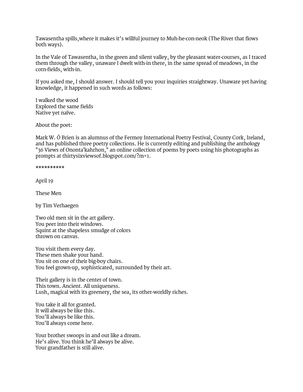Tawasentha spills,where it makes it's willful journey to Muh-he-con-neok (The River that flows both ways).

In the Vale of Tawasentha, in the green and silent valley, by the pleasant water-courses, as I traced them through the valley, unaware I dwelt with-in there, in the same spread of meadows, in the corn-fields, with-in.

If you asked me, I should answer. I should tell you your inquiries straightway. Unaware yet having knowledge, it happened in such words as follows:

I walked the wood Explored the same fields Native yet naïve.

About the poet:

Mark W. Ó Brien is an alumnus of the Fermoy International Poetry Festival, County Cork, Ireland, and has published three poetry collections. He is currently editing and publishing the anthology "36 Views of Ononta'kahrhon," an online collection of poems by poets using his photographs as prompts at [thirtysixviewsof.blogspot.com/?m=1.](http://www.thirtysixviewsof.blogspot.com/?m=1)

\*\*\*\*\*\*\*\*\*\*

April 19

These Men

by Tim Verhaegen

Two old men sit in the art gallery. You peer into their windows. Squint at the shapeless smudge of colors thrown on canvas.

You visit them every day. These men shake your hand. You sit on one of their big-boy chairs. You feel grown-up, sophisticated, surrounded by their art.

Their gallery is in the center of town. This town. Ancient. All uniqueness. Lush, magical with its greenery, the sea, its other-worldly riches.

You take it all for granted. It will always be like this. You'll always be like this. You'll always come here.

Your brother swoops in and out like a dream. He's alive. You think he'll always be alive. Your grandfather is still alive.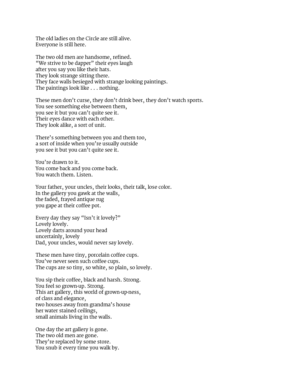The old ladies on the Circle are still alive. Everyone is still here.

The two old men are handsome, refined. "We strive to be dapper" their eyes laugh after you say you like their hats. They look strange sitting there. They face walls besieged with strange looking paintings. The paintings look like . . . nothing.

These men don't curse, they don't drink beer, they don't watch sports. You see something else between them, you see it but you can't quite see it. Their eyes dance with each other. They look alike, a sort of unit.

There's something between you and them too, a sort of inside when you're usually outside you see it but you can't quite see it.

You're drawn to it. You come back and you come back. You watch them. Listen.

Your father, your uncles, their looks, their talk, lose color. In the gallery you gawk at the walls, the faded, frayed antique rug you gape at their coffee pot.

Every day they say "Isn't it lovely?" Lovely lovely. Lovely darts around your head uncertainly, lovely Dad, your uncles, would never say lovely.

These men have tiny, porcelain coffee cups. You've never seen such coffee cups. The cups are so tiny, so white, so plain, so lovely.

You sip their coffee, black and harsh. Strong. You feel so grown-up. Strong. This art gallery, this world of grown-up-ness, of class and elegance, two houses away from grandma's house her water stained ceilings, small animals living in the walls.

One day the art gallery is gone. The two old men are gone. They're replaced by some store. You snub it every time you walk by.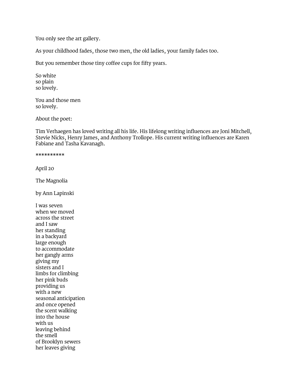You only see the art gallery.

As your childhood fades, those two men, the old ladies, your family fades too.

But you remember those tiny coffee cups for fifty years.

So white so plain so lovely.

You and those men so lovely.

About the poet:

Tim Verhaegen has loved writing all his life. His lifelong writing influences are Joni Mitchell, Stevie Nicks, Henry James, and Anthony Trollope. His current writing influences are Karen Fabiane and Tasha Kavanagh.

#### \*\*\*\*\*\*\*\*\*\*

April 20

The Magnolia

by Ann Lapinski

I was seven when we moved across the street and I saw her standing in a backyard large enough to accommodate her gangly arms giving my sisters and I limbs for climbing her pink buds providing us with a new seasonal anticipation and once opened the scent walking into the house with us leaving behind the smell of Brooklyn sewers her leaves giving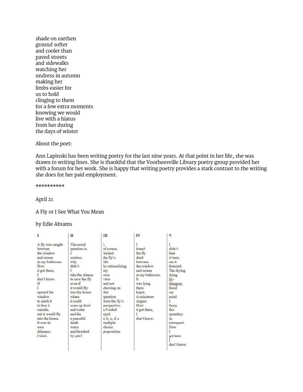shade on earthen ground softer and cooler than paved streets and sidewalks watching her undress in autumn making her limbs easier for us to hold clinging to them for a few extra moments knowing we would live with a hiatus from her during the days of winter

#### About the poet:

Ann Lapinski has been writing poetry for the last nine years. At that point in her life, she was drawn to writing lines. She is thankful that the Voorheesville Library poetry group provided her with a forum for her work. She is happy that writing poetry provides a stark contrast to the writing she does for her paid employment.

\*\*\*\*\*\*\*\*\*\*

April 21

#### A Fly or I See What You Mean

#### by Edie Abrams

| I                                                                                                                                                                                                                                                                            | п                                                                                                                                                                                                                                                                       | Ш                                                                                                                                                                                                                                                    | IV                                                                                                                                                                                        | V                                                                                                                                                                                                                 |
|------------------------------------------------------------------------------------------------------------------------------------------------------------------------------------------------------------------------------------------------------------------------------|-------------------------------------------------------------------------------------------------------------------------------------------------------------------------------------------------------------------------------------------------------------------------|------------------------------------------------------------------------------------------------------------------------------------------------------------------------------------------------------------------------------------------------------|-------------------------------------------------------------------------------------------------------------------------------------------------------------------------------------------|-------------------------------------------------------------------------------------------------------------------------------------------------------------------------------------------------------------------|
| A fly was caught<br>hetween<br>the window<br>and screen<br>in my bathroom.<br>How<br>it got there.<br>don't know.<br>If<br>opened the<br>window<br>to catch it<br>to free it<br>outside.<br>out it would fly<br>into the house.<br>It was its<br>own<br>dilemma.<br>I tried. | The moral<br>question is.<br>confess.<br>why<br>didn't<br>T<br>take the chance<br>to save the fly<br>even if<br>it would fly<br>into the house<br>where<br>it could<br>scare up food<br>and water<br>and die<br>a peaceful<br>death<br>warm<br>and thrashed<br>by cats? | Ι.<br>of course.<br>limited<br>the fly's<br>life<br>by rationalizing<br>my<br>own<br>view<br>and not<br>chewing on<br>this<br>question<br>from the fly's<br>perspective,<br>a 5-sided<br>eyed<br>a, b, c, d, e<br>multiple<br>choice<br>proposition. | found<br>the fly<br>dead<br>between<br>the window<br>and screen<br>in my bathroom.<br>It<br>was lying<br>there<br>kaput.<br>A miniature<br>Argent.<br>How<br>it got there,<br>don't know. | didn't<br>hear<br>it buzz.<br>see it.<br>frenzied.<br>The drying<br>dying<br>hy-<br>drangeas<br>fazed<br>my<br>mind.<br>L<br>fancy<br>this<br>quandary<br>m<br>retrospect.<br>How<br>T<br>got here<br>don't know. |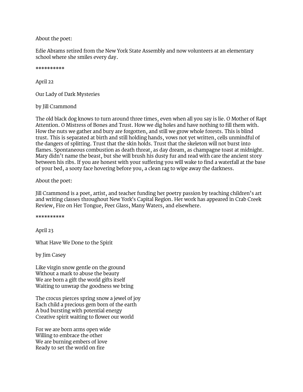About the poet:

Edie Abrams retired from the New York State Assembly and now volunteers at an elementary school where she smiles every day.

\*\*\*\*\*\*\*\*\*\*

April 22

Our Lady of Dark Mysteries

#### by Jill Crammond

The old black dog knows to turn around three times, even when all you say is lie. O Mother of Rapt Attention. O Mistress of Bones and Trust. How we dig holes and have nothing to fill them with. How the nuts we gather and bury are forgotten, and still we grow whole forests. This is blind trust. This is separated at birth and still holding hands, vows not yet written, cells unmindful of the dangers of splitting. Trust that the skin holds. Trust that the skeleton will not burst into flames. Spontaneous combustion as death threat, as day dream, as champagne toast at midnight. Mary didn't name the beast, but she will brush his dusty fur and read with care the ancient story between his ribs. If you are honest with your suffering you will wake to find a waterfall at the base of your bed, a sooty face hovering before you, a clean rag to wipe away the darkness.

About the poet:

Jill Crammond is a poet, artist, and teacher funding her poetry passion by teaching children's art and writing classes throughout New York's Capital Region. Her work has appeared in Crab Creek Review, Fire on Her Tongue, Peer Glass, Many Waters, and elsewhere.

#### \*\*\*\*\*\*\*\*\*\*

April 23

What Have We Done to the Spirit

by Jim Casey

Like virgin snow gentle on the ground Without a mark to abuse the beauty We are born a gift the world gifts itself Waiting to unwrap the goodness we bring

The crocus pierces spring snow a jewel of joy Each child a precious gem born of the earth A bud bursting with potential energy Creative spirit waiting to flower our world

For we are born arms open wide Willing to embrace the other We are burning embers of love Ready to set the world on fire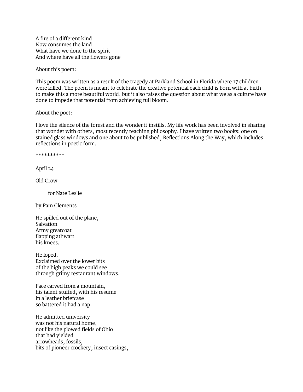A fire of a different kind Now consumes the land What have we done to the spirit And where have all the flowers gone

About this poem:

This poem was written as a result of the tragedy at Parkland School in Florida where 17 children were killed. The poem is meant to celebrate the creative potential each child is born with at birth to make this a more beautiful world, but it also raises the question about what we as a culture have done to impede that potential from achieving full bloom.

About the poet:

I love the silence of the forest and the wonder it instills. My life work has been involved in sharing that wonder with others, most recently teaching philosophy. I have written two books: one on stained glass windows and one about to be published, Reflections Along the Way, which includes reflections in poetic form.

\*\*\*\*\*\*\*\*\*\*

April 24

Old Crow

for Nate Leslie

by Pam Clements

He spilled out of the plane, Salvation Army greatcoat flapping athwart his knees.

He loped. Exclaimed over the lower bits of the high peaks we could see through grimy restaurant windows.

Face carved from a mountain, his talent stuffed, with his resume in a leather briefcase so battered it had a nap.

He admitted university was not his natural home, not like the plowed fields of Ohio that had yielded arrowheads, fossils, bits of pioneer crockery, insect casings,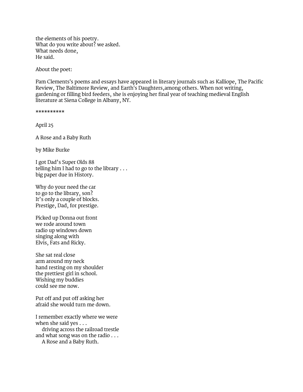the elements of his poetry. What do you write about? we asked. What needs done, He said.

About the poet:

Pam Clements's poems and essays have appeared in literary journals such as Kalliope, The Pacific Review, The Baltimore Review, and Earth's Daughters,among others. When not writing, gardening or filling bird feeders, she is enjoying her final year of teaching medieval English literature at Siena College in Albany, NY.

\*\*\*\*\*\*\*\*\*\*

April 25

A Rose and a Baby Ruth

by Mike Burke

I got Dad's Super Olds 88 telling him I had to go to the library . . . big paper due in History.

Why do your need the car to go to the library, son? It's only a couple of blocks. Prestige, Dad, for prestige.

Picked up Donna out front we rode around town radio up windows down singing along with Elvis, Fats and Ricky.

She sat real close arm around my neck hand resting on my shoulder the prettiest girl in school. Wishing my buddies could see me now.

Put off and put off asking her afraid she would turn me down.

I remember exactly where we were when she said yes . . . driving across the railroad trestle and what song was on the radio . . . A Rose and a Baby Ruth.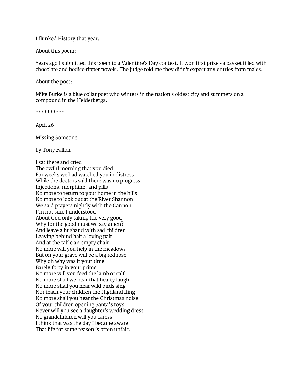I flunked History that year.

About this poem:

Years ago I submitted this poem to a Valentine's Day contest. It won first prize - a basket filled with chocolate and bodice-ripper novels. The judge told me they didn't expect any entries from males.

About the poet:

Mike Burke is a blue collar poet who winters in the nation's oldest city and summers on a compound in the Helderbergs.

\*\*\*\*\*\*\*\*\*\*

April 26

Missing Someone

by Tony Fallon

I sat there and cried The awful morning that you died For weeks we had watched you in distress While the doctors said there was no progress Injections, morphine, and pills No more to return to your home in the hills No more to look out at the River Shannon We said prayers nightly with the Cannon I'm not sure I understood About God only taking the very good Why for the good must we say amen? And leave a husband with sad children Leaving behind half a loving pair And at the table an empty chair No more will you help in the meadows But on your grave will be a big red rose Why oh why was it your time Barely forty in your prime No more will you feed the lamb or calf No more shall we hear that hearty laugh No more shall you hear wild birds sing Nor teach your children the Highland fling No more shall you hear the Christmas noise Of your children opening Santa's toys Never will you see a daughter's wedding dress No grandchildren will you caress I think that was the day I became aware That life for some reason is often unfair.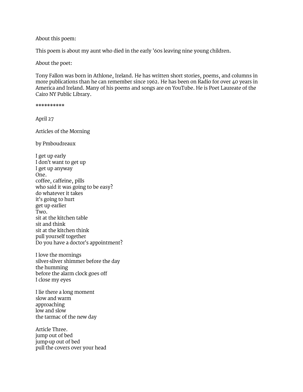#### About this poem:

This poem is about my aunt who died in the early '60s leaving nine young children.

About the poet:

Tony Fallon was born in Athlone, Ireland. He has written short stories, poems, and columns in more publications than he can remember since 1962. He has been on Radio for over 40 years in America and Ireland. Many of his poems and songs are on YouTube. He is Poet Laureate of the Cairo NY Public Library.

\*\*\*\*\*\*\*\*\*\* April 27 Articles of the Morning by Pmboudreaux I get up early I don't want to get up I get up anyway One. coffee, caffeine, pills who said it was going to be easy? do whatever it takes it's going to hurt get up earlier Two. sit at the kitchen table sit and think sit at the kitchen think pull yourself together Do you have a doctor's appointment?

I love the mornings silver-sliver shimmer before the day the humming before the alarm clock goes off I close my eyes

I lie there a long moment slow and warm approaching low and slow the tarmac of the new day

Article Three. jump out of bed jump-up out of bed pull the covers over your head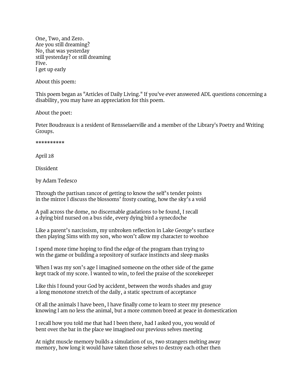One, Two, and Zero. Are you still dreaming? No, that was yesterday still yesterday? or still dreaming Five. I get up early

About this poem:

This poem began as "Articles of Daily Living." If you've ever answered ADL questions concerning a disability, you may have an appreciation for this poem.

About the poet:

Peter Boudreaux is a resident of Rensselaerville and a member of the Library's Poetry and Writing Groups.

\*\*\*\*\*\*\*\*\*\*

April 28

Dissident

by Adam Tedesco

Through the partisan rancor of getting to know the self's tender points in the mirror I discuss the blossoms' frosty coating, how the sky's a void

A pall across the dome, no discernable gradations to be found, I recall a dying bird nursed on a bus ride, every dying bird a synecdoche

Like a parent's narcissism, my unbroken reflection in Lake George's surface then playing Sims with my son, who won't allow my character to woohoo

I spend more time hoping to find the edge of the program than trying to win the game or building a repository of surface instincts and sleep masks

When I was my son's age I imagined someone on the other side of the game kept track of my score. I wanted to win, to feel the praise of the scorekeeper

Like this I found your God by accident, between the words shades and gray a long monotone stretch of the daily, a static spectrum of acceptance

Of all the animals I have been, I have finally come to learn to steer my presence knowing I am no less the animal, but a more common breed at peace in domestication

I recall how you told me that had I been there, had I asked you, you would of bent over the bar in the place we imagined our previous selves meeting

At night muscle memory builds a simulation of us, two strangers melting away memory, how long it would have taken those selves to destroy each other then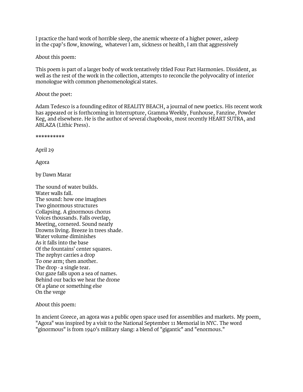I practice the hard work of horrible sleep, the anemic wheeze of a higher power, asleep in the cpap's flow, knowing, whatever I am, sickness or health, I am that aggressively

About this poem:

This poem is part of a larger body of work tentatively titled Four Part Harmonies. Dissident, as well as the rest of the work in the collection, attempts to reconcile the polyvocality of interior monologue with common phenomenological states.

About the poet:

Adam Tedesco is a founding editor of REALITY BEACH, a journal of new poetics. His recent work has appeared or is forthcoming in Interrupture, Gramma Weekly, Funhouse, Fanzine, Powder Keg, and elsewhere. He is the author of several chapbooks, most recently HEART SUTRA, and ABLAZA (Lithic Press).

\*\*\*\*\*\*\*\*\*\*

April 29

Agora

by Dawn Marar

The sound of water builds. Water walls fall. The sound: how one imagines Two ginormous structures Collapsing. A ginormous chorus Voices thousands. Falls overlap, Meeting, cornered. Sound nearly Drowns living. Breeze in trees shade. Water volume diminishes As it falls into the base Of the fountains' center squares. The zephyr carries a drop To one arm; then another. The drop - a single tear. Our gaze falls upon a sea of names. Behind our backs we hear the drone Of a plane or something else On the verge

About this poem:

In ancient Greece, an agora was a public open space used for assemblies and markets. My poem, "Agora" was inspired by a visit to the National September 11 Memorial in NYC. The word "ginormous" is from 1940's military slang: a blend of "gigantic" and "enormous."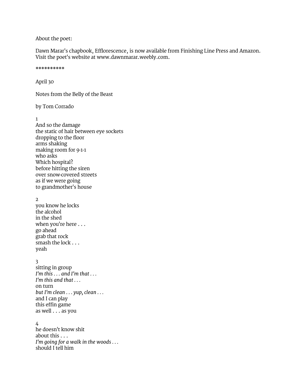#### About the poet:

Dawn Marar's chapbook, Efflorescence, is now available from Finishing Line Press and Amazon. Visit the poet's website at [www.dawnmarar.weebly.com.](http://www.dawnmarar.weebly.com/)

\*\*\*\*\*\*\*\*\*\*

April 30

Notes from the Belly of the Beast

by Tom Corrado

1

And so the damage the static of hair between eye sockets dropping to the floor arms shaking making room for 9-1-1 who asks Which hospital? before hitting the siren over snow-covered streets as if we were going to grandmother's house

#### 2

you know he locks the alcohol in the shed when you're here . . . go ahead grab that rock smash the lock . . . yeah

#### 3

sitting in group *I'm this . . . and I'm that . . . I'm this and that . . .* on turn *but I'm clean . . . yup, clean . . .* and I can play this effin game as well . . . as you

#### 4

he doesn't know shit about this . . . *I'm going for a walk in the woods . . .* should I tell him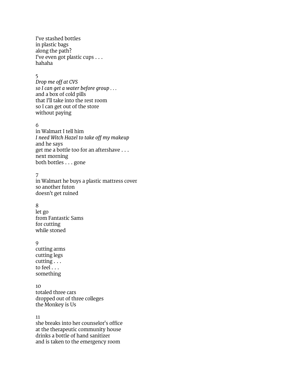I've stashed bottles in plastic bags along the path? I've even got plastic cups . . . hahaha

#### 5

*Drop me off at CVS so I can get a water before group . . .* and a box of cold pills that I'll take into the rest room so I can get out of the store without paying

#### 6

in Walmart I tell him *I need Witch Hazel to take off my makeup* and he says get me a bottle too for an aftershave . . . next morning both bottles . . . gone

#### 7

in Walmart he buys a plastic mattress cover so another futon doesn't get ruined

#### 8

let go from Fantastic Sams for cutting while stoned

#### 9

cutting arms cutting legs cutting . . . to feel . . . something

#### 10

totaled three cars dropped out of three colleges the Monkey is Us

11

she breaks into her counselor's office at the therapeutic community house drinks a bottle of hand sanitizer and is taken to the emergency room